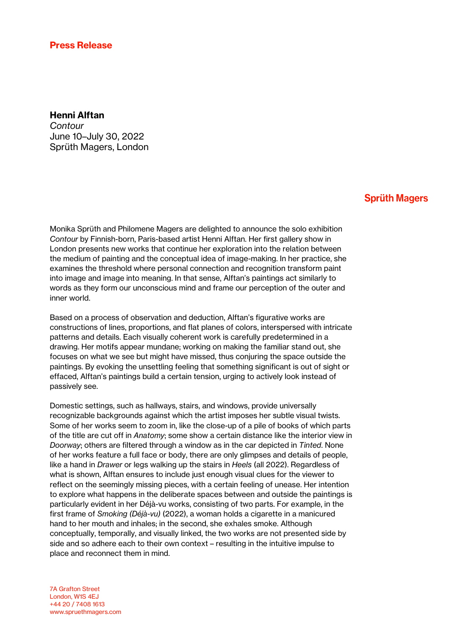## Press Release

## Henni Alftan

*Contour* June 10–July 30, 2022 Sprüth Magers, London

## **Sprüth Magers**

Monika Sprüth and Philomene Magers are delighted to announce the solo exhibition *Contour* by Finnish-born, Paris-based artist Henni Alftan. Her first gallery show in London presents new works that continue her exploration into the relation between the medium of painting and the conceptual idea of image-making. In her practice, she examines the threshold where personal connection and recognition transform paint into image and image into meaning. In that sense, Alftan's paintings act similarly to words as they form our unconscious mind and frame our perception of the outer and inner world.

Based on a process of observation and deduction, Alftan's figurative works are constructions of lines, proportions, and flat planes of colors, interspersed with intricate patterns and details. Each visually coherent work is carefully predetermined in a drawing. Her motifs appear mundane; working on making the familiar stand out, she focuses on what we see but might have missed, thus conjuring the space outside the paintings. By evoking the unsettling feeling that something significant is out of sight or effaced, Alftan's paintings build a certain tension, urging to actively look instead of passively see.

Domestic settings, such as hallways, stairs, and windows, provide universally recognizable backgrounds against which the artist imposes her subtle visual twists. Some of her works seem to zoom in, like the close-up of a pile of books of which parts of the title are cut off in *Anatomy*; some show a certain distance like the interior view in *Doorway*; others are filtered through a window as in the car depicted in *Tinted*. None of her works feature a full face or body, there are only glimpses and details of people, like a hand in *Drawer* or legs walking up the stairs in *Heels* (all 2022). Regardless of what is shown, Alftan ensures to include just enough visual clues for the viewer to reflect on the seemingly missing pieces, with a certain feeling of unease. Her intention to explore what happens in the deliberate spaces between and outside the paintings is particularly evident in her Déjà-vu works, consisting of two parts. For example, in the first frame of *Smoking (Déjà-vu)* (2022), a woman holds a cigarette in a manicured hand to her mouth and inhales; in the second, she exhales smoke. Although conceptually, temporally, and visually linked, the two works are not presented side by side and so adhere each to their own context – resulting in the intuitive impulse to place and reconnect them in mind.

7A Grafton Street London, W1S 4EJ +44 20 / 7408 1613 www.spruethmagers.com